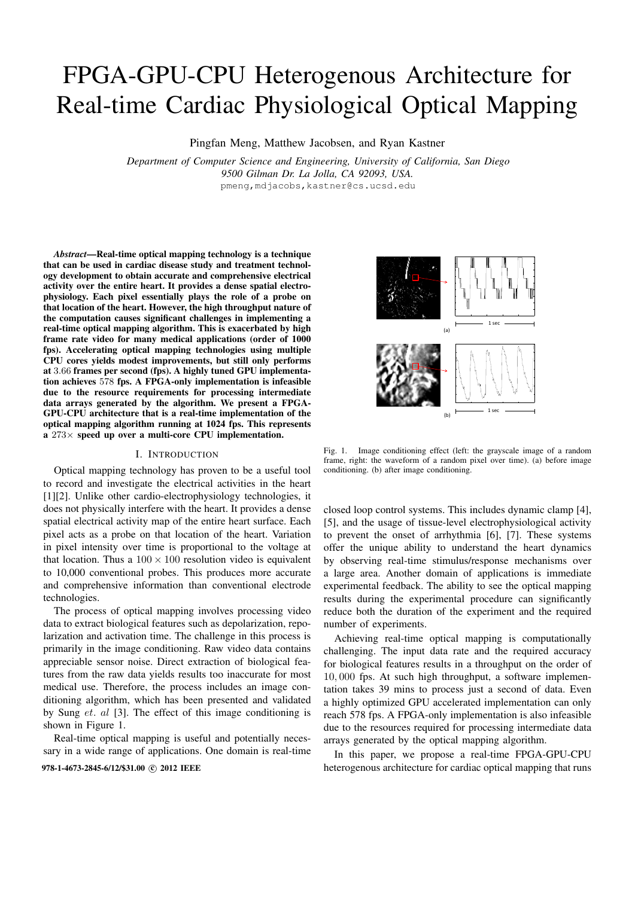# FPGA-GPU-CPU Heterogenous Architecture for Real-time Cardiac Physiological Optical Mapping

Pingfan Meng, Matthew Jacobsen, and Ryan Kastner

*Department of Computer Science and Engineering, University of California, San Diego 9500 Gilman Dr. La Jolla, CA 92093, USA.* pmeng,mdjacobs,kastner@cs.ucsd.edu

*Abstract*—Real-time optical mapping technology is a technique that can be used in cardiac disease study and treatment technology development to obtain accurate and comprehensive electrical activity over the entire heart. It provides a dense spatial electrophysiology. Each pixel essentially plays the role of a probe on that location of the heart. However, the high throughput nature of the computation causes significant challenges in implementing a real-time optical mapping algorithm. This is exacerbated by high frame rate video for many medical applications (order of 1000 fps). Accelerating optical mapping technologies using multiple CPU cores yields modest improvements, but still only performs at 3.66 frames per second (fps). A highly tuned GPU implementation achieves 578 fps. A FPGA-only implementation is infeasible due to the resource requirements for processing intermediate data arrays generated by the algorithm. We present a FPGA-GPU-CPU architecture that is a real-time implementation of the optical mapping algorithm running at 1024 fps. This represents a 273× speed up over a multi-core CPU implementation.

## I. INTRODUCTION

Optical mapping technology has proven to be a useful tool to record and investigate the electrical activities in the heart [1][2]. Unlike other cardio-electrophysiology technologies, it does not physically interfere with the heart. It provides a dense spatial electrical activity map of the entire heart surface. Each pixel acts as a probe on that location of the heart. Variation in pixel intensity over time is proportional to the voltage at that location. Thus a  $100 \times 100$  resolution video is equivalent to 10,000 conventional probes. This produces more accurate and comprehensive information than conventional electrode technologies.

The process of optical mapping involves processing video data to extract biological features such as depolarization, repolarization and activation time. The challenge in this process is primarily in the image conditioning. Raw video data contains appreciable sensor noise. Direct extraction of biological features from the raw data yields results too inaccurate for most medical use. Therefore, the process includes an image conditioning algorithm, which has been presented and validated by Sung et. al [3]. The effect of this image conditioning is shown in Figure 1.

Real-time optical mapping is useful and potentially necessary in a wide range of applications. One domain is real-time



Fig. 1. Image conditioning effect (left: the grayscale image of a random frame, right: the waveform of a random pixel over time). (a) before image conditioning. (b) after image conditioning.

closed loop control systems. This includes dynamic clamp [4], [5], and the usage of tissue-level electrophysiological activity to prevent the onset of arrhythmia [6], [7]. These systems offer the unique ability to understand the heart dynamics by observing real-time stimulus/response mechanisms over a large area. Another domain of applications is immediate experimental feedback. The ability to see the optical mapping results during the experimental procedure can significantly reduce both the duration of the experiment and the required number of experiments.

Achieving real-time optical mapping is computationally challenging. The input data rate and the required accuracy for biological features results in a throughput on the order of 10, 000 fps. At such high throughput, a software implementation takes 39 mins to process just a second of data. Even a highly optimized GPU accelerated implementation can only reach 578 fps. A FPGA-only implementation is also infeasible due to the resources required for processing intermediate data arrays generated by the optical mapping algorithm.

In this paper, we propose a real-time FPGA-GPU-CPU 978-1-4673-2845-6/12/\$31.00 c 2012 IEEE heterogenous architecture for cardiac optical mapping that runs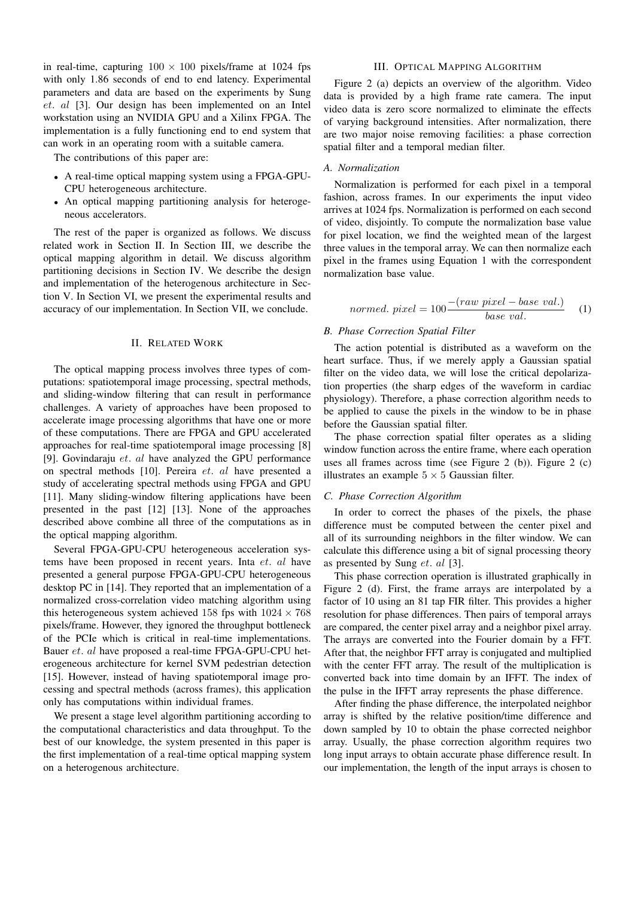in real-time, capturing  $100 \times 100$  pixels/frame at 1024 fps with only 1.86 seconds of end to end latency. Experimental parameters and data are based on the experiments by Sung et. al [3]. Our design has been implemented on an Intel workstation using an NVIDIA GPU and a Xilinx FPGA. The implementation is a fully functioning end to end system that can work in an operating room with a suitable camera.

The contributions of this paper are:

- A real-time optical mapping system using a FPGA-GPU-CPU heterogeneous architecture.
- An optical mapping partitioning analysis for heterogeneous accelerators.

The rest of the paper is organized as follows. We discuss related work in Section II. In Section III, we describe the optical mapping algorithm in detail. We discuss algorithm partitioning decisions in Section IV. We describe the design and implementation of the heterogenous architecture in Section V. In Section VI, we present the experimental results and accuracy of our implementation. In Section VII, we conclude.

### II. RELATED WORK

The optical mapping process involves three types of computations: spatiotemporal image processing, spectral methods, and sliding-window filtering that can result in performance challenges. A variety of approaches have been proposed to accelerate image processing algorithms that have one or more of these computations. There are FPGA and GPU accelerated approaches for real-time spatiotemporal image processing [8] [9]. Govindaraju et. al have analyzed the GPU performance on spectral methods [10]. Pereira et. al have presented a study of accelerating spectral methods using FPGA and GPU [11]. Many sliding-window filtering applications have been presented in the past [12] [13]. None of the approaches described above combine all three of the computations as in the optical mapping algorithm.

Several FPGA-GPU-CPU heterogeneous acceleration systems have been proposed in recent years. Inta et. al have presented a general purpose FPGA-GPU-CPU heterogeneous desktop PC in [14]. They reported that an implementation of a normalized cross-correlation video matching algorithm using this heterogeneous system achieved 158 fps with  $1024 \times 768$ pixels/frame. However, they ignored the throughput bottleneck of the PCIe which is critical in real-time implementations. Bauer et. al have proposed a real-time FPGA-GPU-CPU heterogeneous architecture for kernel SVM pedestrian detection [15]. However, instead of having spatiotemporal image processing and spectral methods (across frames), this application only has computations within individual frames.

We present a stage level algorithm partitioning according to the computational characteristics and data throughput. To the best of our knowledge, the system presented in this paper is the first implementation of a real-time optical mapping system on a heterogenous architecture.

## III. OPTICAL MAPPING ALGORITHM

Figure 2 (a) depicts an overview of the algorithm. Video data is provided by a high frame rate camera. The input video data is zero score normalized to eliminate the effects of varying background intensities. After normalization, there are two major noise removing facilities: a phase correction spatial filter and a temporal median filter.

# *A. Normalization*

Normalization is performed for each pixel in a temporal fashion, across frames. In our experiments the input video arrives at 1024 fps. Normalization is performed on each second of video, disjointly. To compute the normalization base value for pixel location, we find the weighted mean of the largest three values in the temporal array. We can then normalize each pixel in the frames using Equation 1 with the correspondent normalization base value.

$$
normal.~pixel = 100 \frac{-(raw~pixel - base~val.)}{base~val.}
$$
 (1)

# *B. Phase Correction Spatial Filter*

The action potential is distributed as a waveform on the heart surface. Thus, if we merely apply a Gaussian spatial filter on the video data, we will lose the critical depolarization properties (the sharp edges of the waveform in cardiac physiology). Therefore, a phase correction algorithm needs to be applied to cause the pixels in the window to be in phase before the Gaussian spatial filter.

The phase correction spatial filter operates as a sliding window function across the entire frame, where each operation uses all frames across time (see Figure 2 (b)). Figure 2 (c) illustrates an example  $5 \times 5$  Gaussian filter.

## *C. Phase Correction Algorithm*

In order to correct the phases of the pixels, the phase difference must be computed between the center pixel and all of its surrounding neighbors in the filter window. We can calculate this difference using a bit of signal processing theory as presented by Sung et. al [3].

This phase correction operation is illustrated graphically in Figure 2 (d). First, the frame arrays are interpolated by a factor of 10 using an 81 tap FIR filter. This provides a higher resolution for phase differences. Then pairs of temporal arrays are compared, the center pixel array and a neighbor pixel array. The arrays are converted into the Fourier domain by a FFT. After that, the neighbor FFT array is conjugated and multiplied with the center FFT array. The result of the multiplication is converted back into time domain by an IFFT. The index of the pulse in the IFFT array represents the phase difference.

After finding the phase difference, the interpolated neighbor array is shifted by the relative position/time difference and down sampled by 10 to obtain the phase corrected neighbor array. Usually, the phase correction algorithm requires two long input arrays to obtain accurate phase difference result. In our implementation, the length of the input arrays is chosen to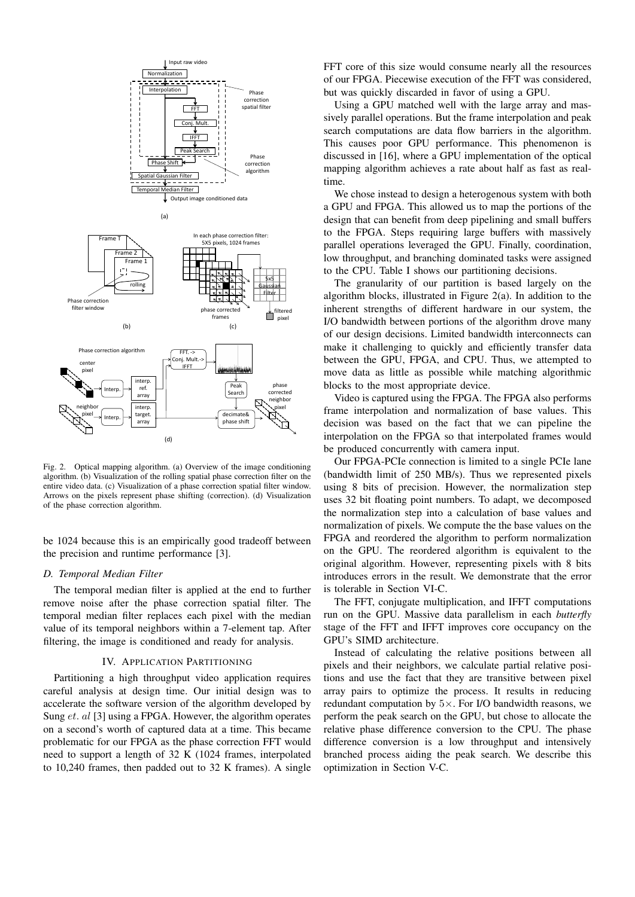

Fig. 2. Optical mapping algorithm. (a) Overview of the image conditioning algorithm. (b) Visualization of the rolling spatial phase correction filter on the entire video data. (c) Visualization of a phase correction spatial filter window. Arrows on the pixels represent phase shifting (correction). (d) Visualization of the phase correction algorithm.

be 1024 because this is an empirically good tradeoff between the precision and runtime performance [3].

#### *D. Temporal Median Filter*

The temporal median filter is applied at the end to further remove noise after the phase correction spatial filter. The temporal median filter replaces each pixel with the median value of its temporal neighbors within a 7-element tap. After filtering, the image is conditioned and ready for analysis.

## IV. APPLICATION PARTITIONING

Partitioning a high throughput video application requires careful analysis at design time. Our initial design was to accelerate the software version of the algorithm developed by Sung *et. al* [3] using a FPGA. However, the algorithm operates on a second's worth of captured data at a time. This became problematic for our FPGA as the phase correction FFT would need to support a length of 32 K (1024 frames, interpolated to 10,240 frames, then padded out to 32 K frames). A single

FFT core of this size would consume nearly all the resources of our FPGA. Piecewise execution of the FFT was considered, but was quickly discarded in favor of using a GPU.

Using a GPU matched well with the large array and massively parallel operations. But the frame interpolation and peak search computations are data flow barriers in the algorithm. This causes poor GPU performance. This phenomenon is discussed in [16], where a GPU implementation of the optical mapping algorithm achieves a rate about half as fast as realtime.

We chose instead to design a heterogenous system with both a GPU and FPGA. This allowed us to map the portions of the design that can benefit from deep pipelining and small buffers to the FPGA. Steps requiring large buffers with massively parallel operations leveraged the GPU. Finally, coordination, low throughput, and branching dominated tasks were assigned to the CPU. Table I shows our partitioning decisions.

The granularity of our partition is based largely on the algorithm blocks, illustrated in Figure 2(a). In addition to the inherent strengths of different hardware in our system, the I/O bandwidth between portions of the algorithm drove many of our design decisions. Limited bandwidth interconnects can make it challenging to quickly and efficiently transfer data between the GPU, FPGA, and CPU. Thus, we attempted to move data as little as possible while matching algorithmic blocks to the most appropriate device.

Video is captured using the FPGA. The FPGA also performs frame interpolation and normalization of base values. This decision was based on the fact that we can pipeline the interpolation on the FPGA so that interpolated frames would be produced concurrently with camera input.

Our FPGA-PCIe connection is limited to a single PCIe lane (bandwidth limit of 250 MB/s). Thus we represented pixels using 8 bits of precision. However, the normalization step uses 32 bit floating point numbers. To adapt, we decomposed the normalization step into a calculation of base values and normalization of pixels. We compute the the base values on the FPGA and reordered the algorithm to perform normalization on the GPU. The reordered algorithm is equivalent to the original algorithm. However, representing pixels with 8 bits introduces errors in the result. We demonstrate that the error is tolerable in Section VI-C.

The FFT, conjugate multiplication, and IFFT computations run on the GPU. Massive data parallelism in each *butterfly* stage of the FFT and IFFT improves core occupancy on the GPU's SIMD architecture.

Instead of calculating the relative positions between all pixels and their neighbors, we calculate partial relative positions and use the fact that they are transitive between pixel array pairs to optimize the process. It results in reducing redundant computation by 5×. For I/O bandwidth reasons, we perform the peak search on the GPU, but chose to allocate the relative phase difference conversion to the CPU. The phase difference conversion is a low throughput and intensively branched process aiding the peak search. We describe this optimization in Section V-C.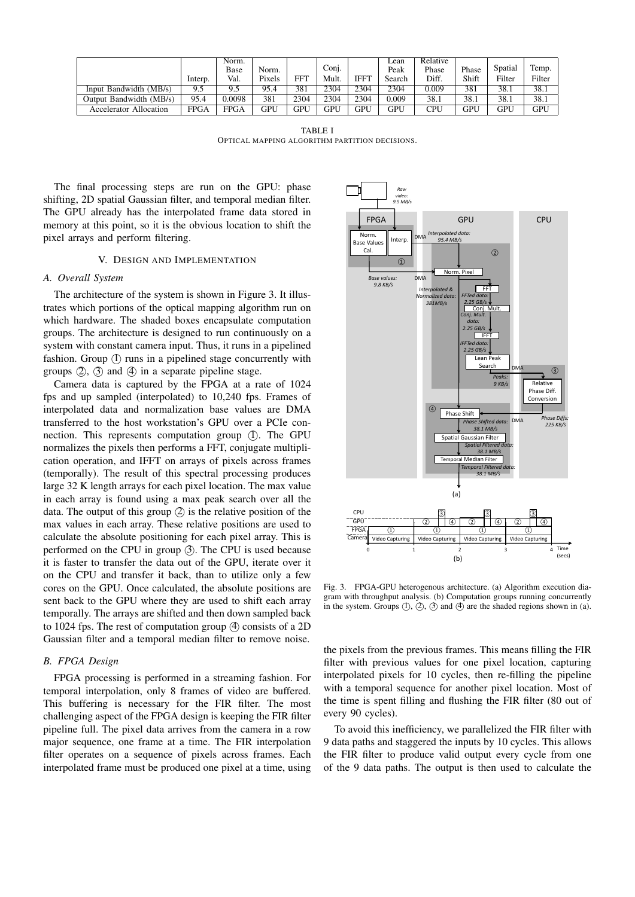|                         |             | Norm.       |        |      |       |             | Lean   | Relative |       |         |            |
|-------------------------|-------------|-------------|--------|------|-------|-------------|--------|----------|-------|---------|------------|
|                         |             | Base        | Norm.  |      | Conj. |             | Peak   | Phase    | Phase | Spatial | Temp.      |
|                         | Interp.     | Val.        | Pixels | FFI  | Mult. | <b>IFFT</b> | Search | Diff.    | Shift | Filter  | Filter     |
| Input Bandwidth (MB/s)  |             | 9.5         | 95.4   | 381  | 2304  | 2304        | 2304   | 0.009    | 381   | 38.1    | 38.1       |
| Output Bandwidth (MB/s) | 95.4        | 0.0098      | 381    | 2304 | 2304  | 2304        | 0.009  | 38.1     | 38.1  | 38.1    | 38.1       |
| Accelerator Allocation  | <b>FPGA</b> | <b>FPGA</b> | GPU    | GPU  | GPU   | GPU         | GPU    | CPU      | GPU   | GPU     | <b>GPU</b> |

TABLE I OPTICAL MAPPING ALGORITHM PARTITION DECISIONS.

The final processing steps are run on the GPU: phase shifting, 2D spatial Gaussian filter, and temporal median filter. The GPU already has the interpolated frame data stored in memory at this point, so it is the obvious location to shift the pixel arrays and perform filtering.

# V. DESIGN AND IMPLEMENTATION

# *A. Overall System*

The architecture of the system is shown in Figure 3. It illustrates which portions of the optical mapping algorithm run on which hardware. The shaded boxes encapsulate computation groups. The architecture is designed to run continuously on a system with constant camera input. Thus, it runs in a pipelined fashion. Group (I) runs in a pipelined stage concurrently with groups  $(2)$ ,  $(3)$  and  $(4)$  in a separate pipeline stage.

Camera data is captured by the FPGA at a rate of 1024 fps and up sampled (interpolated) to 10,240 fps. Frames of interpolated data and normalization base values are DMA transferred to the host workstation's GPU over a PCIe connection. This represents computation group (I). The GPU normalizes the pixels then performs a FFT, conjugate multiplication operation, and IFFT on arrays of pixels across frames (temporally). The result of this spectral processing produces large 32 K length arrays for each pixel location. The max value in each array is found using a max peak search over all the data. The output of this group  $(2)$  is the relative position of the max values in each array. These relative positions are used to calculate the absolute positioning for each pixel array. This is performed on the CPU in group (3). The CPU is used because it is faster to transfer the data out of the GPU, iterate over it on the CPU and transfer it back, than to utilize only a few cores on the GPU. Once calculated, the absolute positions are sent back to the GPU where they are used to shift each array temporally. The arrays are shifted and then down sampled back to 1024 fps. The rest of computation group  $(4)$  consists of a 2D Gaussian filter and a temporal median filter to remove noise.

## *B. FPGA Design*

FPGA processing is performed in a streaming fashion. For temporal interpolation, only 8 frames of video are buffered. This buffering is necessary for the FIR filter. The most challenging aspect of the FPGA design is keeping the FIR filter pipeline full. The pixel data arrives from the camera in a row major sequence, one frame at a time. The FIR interpolation filter operates on a sequence of pixels across frames. Each interpolated frame must be produced one pixel at a time, using



Fig. 3. FPGA-GPU heterogenous architecture. (a) Algorithm execution diagram with throughput analysis. (b) Computation groups running concurrently in the system. Groups  $(1)$ ,  $(2)$ ,  $(3)$  and  $(4)$  are the shaded regions shown in (a).

the pixels from the previous frames. This means filling the FIR filter with previous values for one pixel location, capturing interpolated pixels for 10 cycles, then re-filling the pipeline with a temporal sequence for another pixel location. Most of the time is spent filling and flushing the FIR filter (80 out of every 90 cycles).

To avoid this inefficiency, we parallelized the FIR filter with 9 data paths and staggered the inputs by 10 cycles. This allows the FIR filter to produce valid output every cycle from one of the 9 data paths. The output is then used to calculate the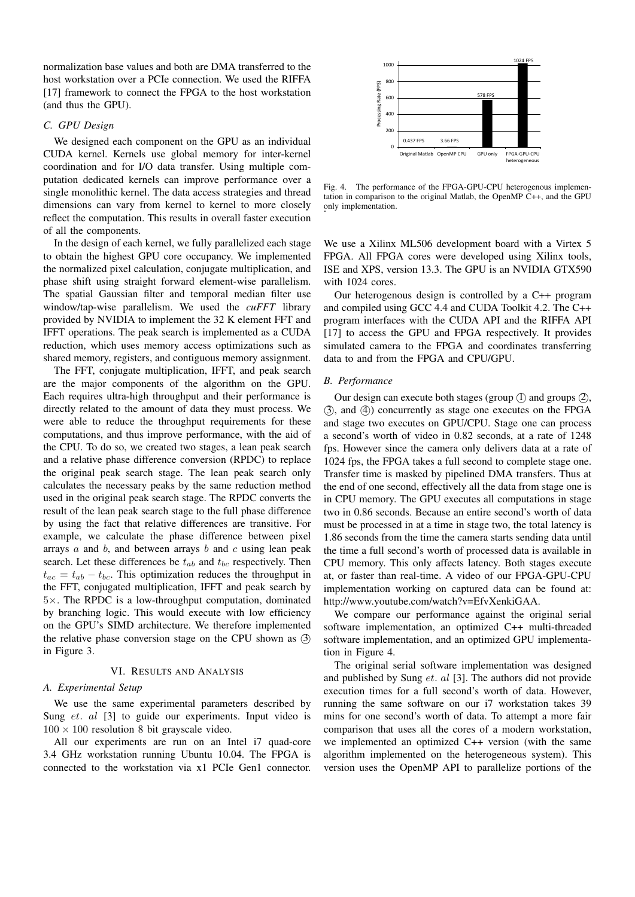normalization base values and both are DMA transferred to the host workstation over a PCIe connection. We used the RIFFA [17] framework to connect the FPGA to the host workstation (and thus the GPU).

## *C. GPU Design*

We designed each component on the GPU as an individual CUDA kernel. Kernels use global memory for inter-kernel coordination and for I/O data transfer. Using multiple computation dedicated kernels can improve performance over a single monolithic kernel. The data access strategies and thread dimensions can vary from kernel to kernel to more closely reflect the computation. This results in overall faster execution of all the components.

In the design of each kernel, we fully parallelized each stage to obtain the highest GPU core occupancy. We implemented the normalized pixel calculation, conjugate multiplication, and phase shift using straight forward element-wise parallelism. The spatial Gaussian filter and temporal median filter use window/tap-wise parallelism. We used the *cuFFT* library provided by NVIDIA to implement the 32 K element FFT and IFFT operations. The peak search is implemented as a CUDA reduction, which uses memory access optimizations such as shared memory, registers, and contiguous memory assignment.

The FFT, conjugate multiplication, IFFT, and peak search are the major components of the algorithm on the GPU. Each requires ultra-high throughput and their performance is directly related to the amount of data they must process. We were able to reduce the throughput requirements for these computations, and thus improve performance, with the aid of the CPU. To do so, we created two stages, a lean peak search and a relative phase difference conversion (RPDC) to replace the original peak search stage. The lean peak search only calculates the necessary peaks by the same reduction method used in the original peak search stage. The RPDC converts the result of the lean peak search stage to the full phase difference by using the fact that relative differences are transitive. For example, we calculate the phase difference between pixel arrays  $a$  and  $b$ , and between arrays  $b$  and  $c$  using lean peak search. Let these differences be  $t_{ab}$  and  $t_{bc}$  respectively. Then  $t_{ac} = t_{ab} - t_{bc}$ . This optimization reduces the throughput in the FFT, conjugated multiplication, IFFT and peak search by 5×. The RPDC is a low-throughput computation, dominated by branching logic. This would execute with low efficiency on the GPU's SIMD architecture. We therefore implemented the relative phase conversion stage on the CPU shown as 3 in Figure 3.

# VI. RESULTS AND ANALYSIS

## *A. Experimental Setup*

We use the same experimental parameters described by Sung et. al [3] to guide our experiments. Input video is  $100 \times 100$  resolution 8 bit grayscale video.

All our experiments are run on an Intel i7 quad-core 3.4 GHz workstation running Ubuntu 10.04. The FPGA is connected to the workstation via x1 PCIe Gen1 connector.



Fig. 4. The performance of the FPGA-GPU-CPU heterogenous implementation in comparison to the original Matlab, the OpenMP C++, and the GPU only implementation. .

We use a Xilinx ML506 development board with a Virtex 5 FPGA. All FPGA cores were developed using Xilinx tools, ISE and XPS, version 13.3. The GPU is an NVIDIA GTX590 with 1024 cores.

Our heterogenous design is controlled by a C++ program and compiled using GCC 4.4 and CUDA Toolkit 4.2. The C++ program interfaces with the CUDA API and the RIFFA API [17] to access the GPU and FPGA respectively. It provides simulated camera to the FPGA and coordinates transferring data to and from the FPGA and CPU/GPU.

### *B. Performance*

Our design can execute both stages (group  $(1)$  and groups  $(2)$ , (3), and (4)) concurrently as stage one executes on the FPGA and stage two executes on GPU/CPU. Stage one can process a second's worth of video in 0.82 seconds, at a rate of 1248 fps. However since the camera only delivers data at a rate of 1024 fps, the FPGA takes a full second to complete stage one. Transfer time is masked by pipelined DMA transfers. Thus at the end of one second, effectively all the data from stage one is in CPU memory. The GPU executes all computations in stage two in 0.86 seconds. Because an entire second's worth of data must be processed in at a time in stage two, the total latency is 1.86 seconds from the time the camera starts sending data until the time a full second's worth of processed data is available in CPU memory. This only affects latency. Both stages execute at, or faster than real-time. A video of our FPGA-GPU-CPU implementation working on captured data can be found at: http://www.youtube.com/watch?v=EfvXenkiGAA.

We compare our performance against the original serial software implementation, an optimized C++ multi-threaded software implementation, and an optimized GPU implementation in Figure 4.

The original serial software implementation was designed and published by Sung et. al [3]. The authors did not provide execution times for a full second's worth of data. However, running the same software on our i7 workstation takes 39 mins for one second's worth of data. To attempt a more fair comparison that uses all the cores of a modern workstation, we implemented an optimized C++ version (with the same algorithm implemented on the heterogeneous system). This version uses the OpenMP API to parallelize portions of the